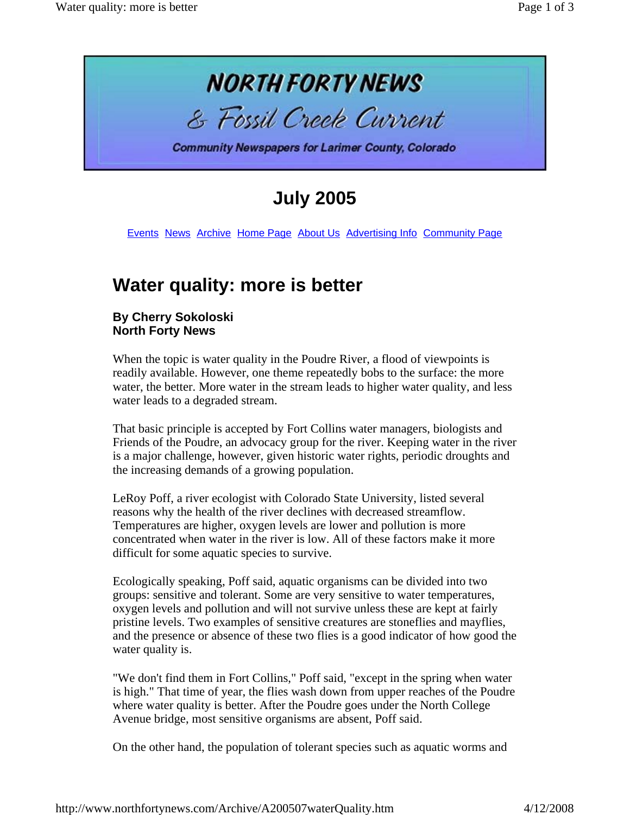

# **July 2005**

Events News Archive Home Page About Us Advertising Info Community Page

# **Water quality: more is better**

#### **By Cherry Sokoloski North Forty News**

When the topic is water quality in the Poudre River, a flood of viewpoints is readily available. However, one theme repeatedly bobs to the surface: the more water, the better. More water in the stream leads to higher water quality, and less water leads to a degraded stream.

That basic principle is accepted by Fort Collins water managers, biologists and Friends of the Poudre, an advocacy group for the river. Keeping water in the river is a major challenge, however, given historic water rights, periodic droughts and the increasing demands of a growing population.

LeRoy Poff, a river ecologist with Colorado State University, listed several reasons why the health of the river declines with decreased streamflow. Temperatures are higher, oxygen levels are lower and pollution is more concentrated when water in the river is low. All of these factors make it more difficult for some aquatic species to survive.

Ecologically speaking, Poff said, aquatic organisms can be divided into two groups: sensitive and tolerant. Some are very sensitive to water temperatures, oxygen levels and pollution and will not survive unless these are kept at fairly pristine levels. Two examples of sensitive creatures are stoneflies and mayflies, and the presence or absence of these two flies is a good indicator of how good the water quality is.

"We don't find them in Fort Collins," Poff said, "except in the spring when water is high." That time of year, the flies wash down from upper reaches of the Poudre where water quality is better. After the Poudre goes under the North College Avenue bridge, most sensitive organisms are absent, Poff said.

On the other hand, the population of tolerant species such as aquatic worms and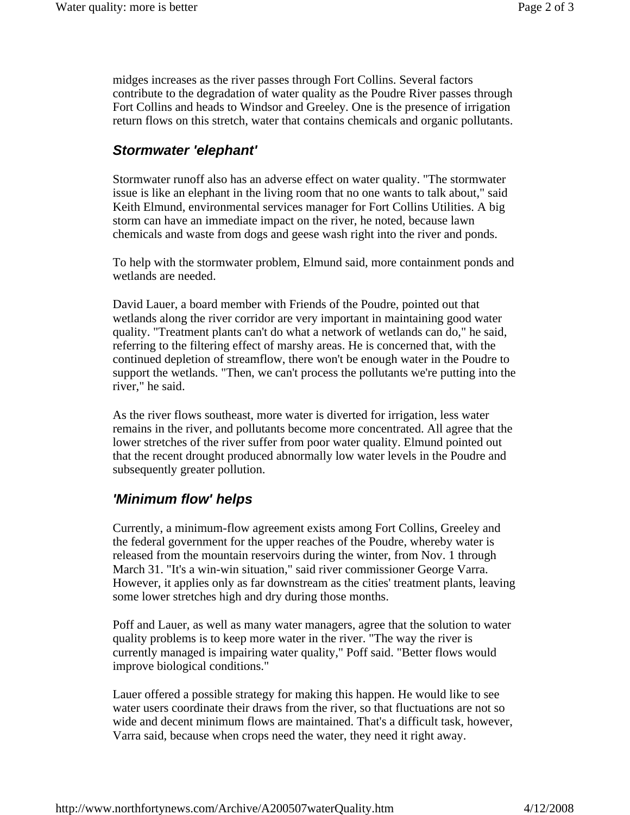midges increases as the river passes through Fort Collins. Several factors contribute to the degradation of water quality as the Poudre River passes through Fort Collins and heads to Windsor and Greeley. One is the presence of irrigation return flows on this stretch, water that contains chemicals and organic pollutants.

## *Stormwater 'elephant'*

Stormwater runoff also has an adverse effect on water quality. "The stormwater issue is like an elephant in the living room that no one wants to talk about," said Keith Elmund, environmental services manager for Fort Collins Utilities. A big storm can have an immediate impact on the river, he noted, because lawn chemicals and waste from dogs and geese wash right into the river and ponds.

To help with the stormwater problem, Elmund said, more containment ponds and wetlands are needed.

David Lauer, a board member with Friends of the Poudre, pointed out that wetlands along the river corridor are very important in maintaining good water quality. "Treatment plants can't do what a network of wetlands can do," he said, referring to the filtering effect of marshy areas. He is concerned that, with the continued depletion of streamflow, there won't be enough water in the Poudre to support the wetlands. "Then, we can't process the pollutants we're putting into the river," he said.

As the river flows southeast, more water is diverted for irrigation, less water remains in the river, and pollutants become more concentrated. All agree that the lower stretches of the river suffer from poor water quality. Elmund pointed out that the recent drought produced abnormally low water levels in the Poudre and subsequently greater pollution.

### *'Minimum flow' helps*

Currently, a minimum-flow agreement exists among Fort Collins, Greeley and the federal government for the upper reaches of the Poudre, whereby water is released from the mountain reservoirs during the winter, from Nov. 1 through March 31. "It's a win-win situation," said river commissioner George Varra. However, it applies only as far downstream as the cities' treatment plants, leaving some lower stretches high and dry during those months.

Poff and Lauer, as well as many water managers, agree that the solution to water quality problems is to keep more water in the river. "The way the river is currently managed is impairing water quality," Poff said. "Better flows would improve biological conditions."

Lauer offered a possible strategy for making this happen. He would like to see water users coordinate their draws from the river, so that fluctuations are not so wide and decent minimum flows are maintained. That's a difficult task, however, Varra said, because when crops need the water, they need it right away.